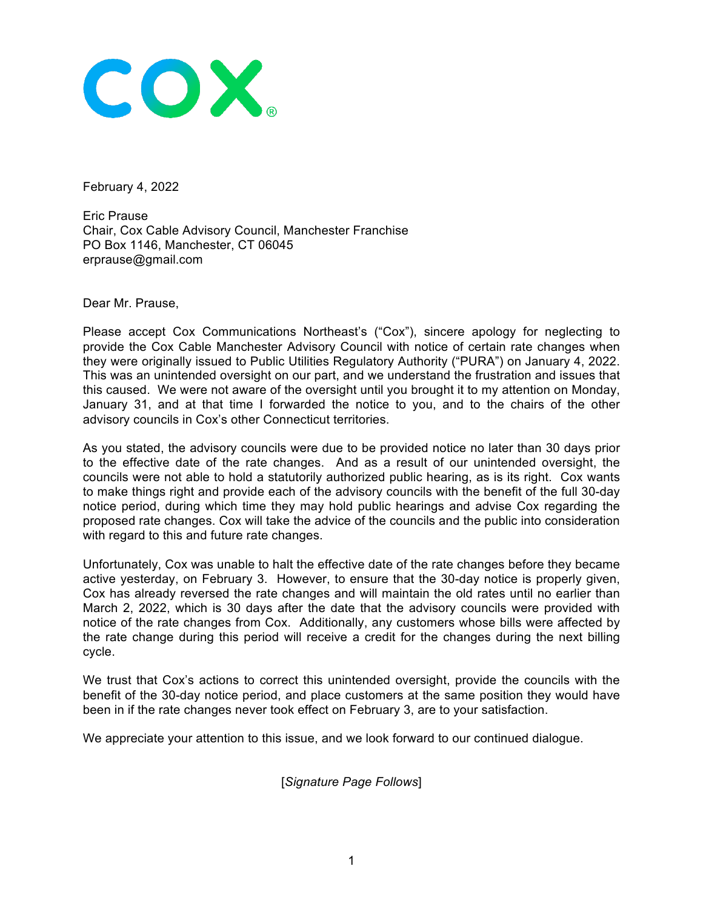

February 4, 2022

Eric Prause Chair, Cox Cable Advisory Council, Manchester Franchise PO Box 1146, Manchester, CT 06045 erprause@gmail.com

Dear Mr. Prause,

Please accept Cox Communications Northeast's ("Cox"), sincere apology for neglecting to provide the Cox Cable Manchester Advisory Council with notice of certain rate changes when they were originally issued to Public Utilities Regulatory Authority ("PURA") on January 4, 2022. This was an unintended oversight on our part, and we understand the frustration and issues that this caused. We were not aware of the oversight until you brought it to my attention on Monday, January 31, and at that time I forwarded the notice to you, and to the chairs of the other advisory councils in Cox's other Connecticut territories.

As you stated, the advisory councils were due to be provided notice no later than 30 days prior to the effective date of the rate changes. And as a result of our unintended oversight, the councils were not able to hold a statutorily authorized public hearing, as is its right. Cox wants to make things right and provide each of the advisory councils with the benefit of the full 30-day notice period, during which time they may hold public hearings and advise Cox regarding the proposed rate changes. Cox will take the advice of the councils and the public into consideration with regard to this and future rate changes.

Unfortunately, Cox was unable to halt the effective date of the rate changes before they became active yesterday, on February 3. However, to ensure that the 30-day notice is properly given, Cox has already reversed the rate changes and will maintain the old rates until no earlier than March 2, 2022, which is 30 days after the date that the advisory councils were provided with notice of the rate changes from Cox. Additionally, any customers whose bills were affected by the rate change during this period will receive a credit for the changes during the next billing cycle.

We trust that Cox's actions to correct this unintended oversight, provide the councils with the benefit of the 30-day notice period, and place customers at the same position they would have been in if the rate changes never took effect on February 3, are to your satisfaction.

We appreciate your attention to this issue, and we look forward to our continued dialogue.

[*Signature Page Follows*]